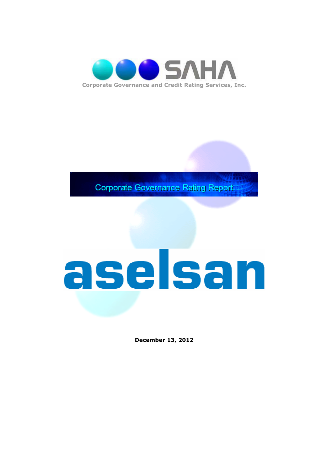

**Corporate Governance Rating Report** 

# aselsan

**December 13, 2012**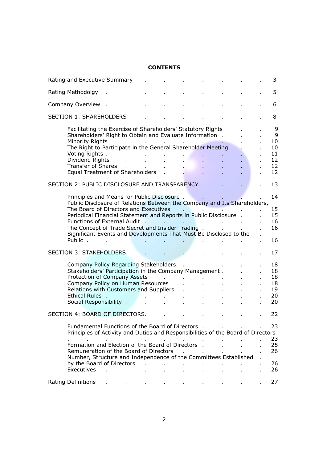# **CONTENTS**

| Rating and Executive Summary                                                                                                                                                                                                                                                                                                                                                                             |                         |        |                      |    |              |  | 3                                          |
|----------------------------------------------------------------------------------------------------------------------------------------------------------------------------------------------------------------------------------------------------------------------------------------------------------------------------------------------------------------------------------------------------------|-------------------------|--------|----------------------|----|--------------|--|--------------------------------------------|
| Rating Methodolgy                                                                                                                                                                                                                                                                                                                                                                                        |                         |        |                      |    |              |  | 5                                          |
| Company Overview                                                                                                                                                                                                                                                                                                                                                                                         |                         |        |                      |    |              |  | 6                                          |
| <b>SECTION 1: SHAREHOLDERS</b>                                                                                                                                                                                                                                                                                                                                                                           |                         |        |                      |    |              |  | 8                                          |
| Facilitating the Exercise of Shareholders' Statutory Rights<br>Shareholders' Right to Obtain and Evaluate Information.<br>Minority Rights<br>The Right to Participate in the General Shareholder Meeting<br>Voting Rights .<br>Dividend Rights<br><b>Transfer of Shares</b><br>Equal Treatment of Shareholders                                                                                           |                         |        | <b>All Contracts</b> |    |              |  | 9<br>9<br>10<br>10<br>11<br>12<br>12<br>12 |
| SECTION 2: PUBLIC DISCLOSURE AND TRANSPARENCY.                                                                                                                                                                                                                                                                                                                                                           |                         |        |                      |    |              |  | 13                                         |
| Principles and Means for Public Disclosure.<br>Public Disclosure of Relations Between the Company and Its Shareholders,<br>The Board of Directors and Executives<br>Periodical Financial Statement and Reports in Public Disclosure.<br>Functions of External Audit.<br>The Concept of Trade Secret and Insider Trading.<br>Significant Events and Developments That Must Be Disclosed to the<br>Public. |                         |        |                      |    | $\mathbf{r}$ |  | 14<br>15<br>15<br>16<br>16<br>16           |
| SECTION 3: STAKEHOLDERS.                                                                                                                                                                                                                                                                                                                                                                                 |                         |        |                      |    |              |  | 17                                         |
| Company Policy Regarding Stakeholders<br>Stakeholders' Participation in the Company Management.<br>Protection of Company Assets<br>Company Policy on Human Resources<br>Relations with Customers and Suppliers<br>Ethical Rules.<br>Social Responsibility .                                                                                                                                              |                         |        |                      |    |              |  | 18<br>18<br>18<br>18<br>19<br>20<br>20     |
| SECTION 4: BOARD OF DIRECTORS.                                                                                                                                                                                                                                                                                                                                                                           |                         |        |                      |    |              |  | 22                                         |
| Fundamental Functions of the Board of Directors .<br>Principles of Activity and Duties and Responsibilities of the Board of Directors<br>Formation and Election of the Board of Directors .<br>Remuneration of the Board of Directors<br>Number, Structure and Independence of the Committees Established<br>by the Board of Directors<br>Executives                                                     | t.<br><b>Contractor</b> | $\sim$ | ä,                   | ä, |              |  | 23<br>23<br>25<br>26<br>26<br>26           |
| <b>Rating Definitions</b>                                                                                                                                                                                                                                                                                                                                                                                |                         |        |                      |    |              |  | 27                                         |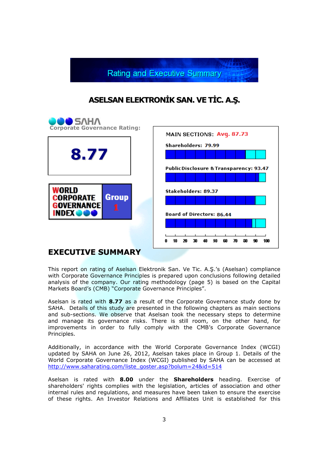

# **ASELSAN ELEKTRONĐK SAN. VE TĐC. A.Ş.**



# **EXECUTIVE SUMMARY**

This report on rating of Aselsan Elektronik San. Ve Tic. A.Ş.'s (Aselsan) compliance with Corporate Governance Principles is prepared upon conclusions following detailed analysis of the company. Our rating methodology (page 5) is based on the Capital Markets Board's (CMB) "Corporate Governance Principles".

Aselsan is rated with **8.77** as a result of the Corporate Governance study done by SAHA. Details of this study are presented in the following chapters as main sections and sub-sections. We observe that Aselsan took the necessary steps to determine and manage its governance risks. There is still room, on the other hand, for improvements in order to fully comply with the CMB's Corporate Governance Principles.

Additionally, in accordance with the World Corporate Governance Index (WCGI) updated by SAHA on June 26, 2012, Aselsan takes place in Group 1. Details of the World Corporate Governance Index (WCGI) published by SAHA can be accessed at http://www.saharating.com/liste\_goster.asp?bolum=24&id=514

Aselsan is rated with **8.00** under the **Shareholders** heading. Exercise of shareholders' rights complies with the legislation, articles of association and other internal rules and regulations, and measures have been taken to ensure the exercise of these rights. An Investor Relations and Affiliates Unit is established for this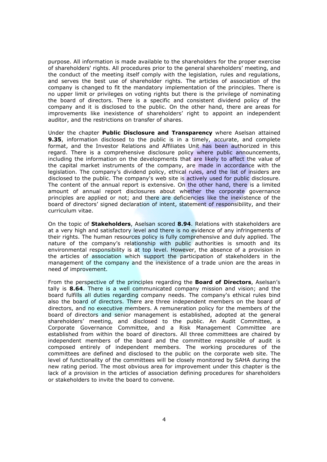purpose. All information is made available to the shareholders for the proper exercise of shareholders' rights. All procedures prior to the general shareholders' meeting, and the conduct of the meeting itself comply with the legislation, rules and regulations, and serves the best use of shareholder rights. The articles of association of the company is changed to fit the mandatory implementation of the principles. There is no upper limit or privileges on voting rights but there is the privilege of nominating the board of directors. There is a specific and consistent dividend policy of the company and it is disclosed to the public. On the other hand, there are areas for improvements like inexistence of shareholders' right to appoint an independent auditor, and the restrictions on transfer of shares.

Under the chapter **Public Disclosure and Transparency** where Aselsan attained **9.35**, information disclosed to the public is in a timely, accurate, and complete format, and the Investor Relations and Affiliates Unit has been authorized in this regard. There is a comprehensive disclosure policy where public announcements, including the information on the developments that are likely to affect the value of the capital market instruments of the company, are made in accordance with the legislation. The company's dividend policy, ethical rules, and the list of insiders are disclosed to the public. The company's web site is actively used for public disclosure. The content of the annual report is extensive. On the other hand, there is a limited amount of annual report disclosures about whether the corporate governance principles are applied or not; and there are deficiencies like the inexistence of the board of directors' signed declaration of intent, statement of responsibility, and their curriculum vitae.

On the topic of **Stakeholders**, Aselsan scored **8.94**. Relations with stakeholders are at a very high and satisfactory level and there is no evidence of any infringements of their rights. The human resources policy is fully comprehensive and duly applied. The nature of the company's relationship with public authorities is smooth and its environmental responsibility is at top level. However, the absence of a provision in the articles of association which support the participation of stakeholders in the management of the company and the inexistence of a trade union are the areas in need of improvement.

From the perspective of the principles regarding the **Board of Directors**, Aselsan's tally is **8.64**. There is a well communicated company mission and vision; and the board fulfills all duties regarding company needs. The company's ethical rules bind also the board of directors. There are three independent members on the board of directors, and no executive members. A remuneration policy for the members of the board of directors and senior management is established, adopted at the general shareholders' meeting, and disclosed to the public. An Audit Committee, a Corporate Governance Committee, and a Risk Management Committee are established from within the board of directors. All three committees are chaired by independent members of the board and the committee responsible of audit is composed entirely of independent members. The working procedures of the committees are defined and disclosed to the public on the corporate web site. The level of functionality of the committees will be closely monitored by SAHA during the new rating period. The most obvious area for improvement under this chapter is the lack of a provision in the articles of association defining procedures for shareholders or stakeholders to invite the board to convene.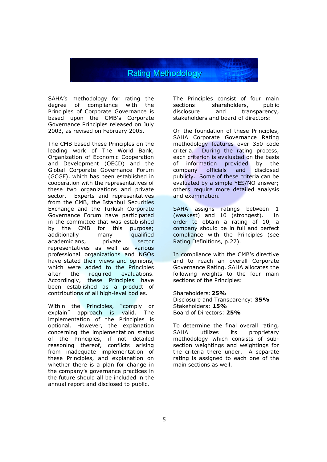# **Rating Methodology**

SAHA's methodology for rating the degree of compliance with the Principles of Corporate Governance is based upon the CMB's Corporate Governance Principles released on July 2003, as revised on February 2005.

The CMB based these Principles on the leading work of The World Bank, Organization of Economic Cooperation and Development (OECD) and the Global Corporate Governance Forum (GCGF), which has been established in cooperation with the representatives of these two organizations and private sector. Experts and representatives from the CMB, the Istanbul Securities Exchange and the Turkish Corporate Governance Forum have participated in the committee that was established by the CMB for this purpose; additionally many qualified academicians, private sector representatives as well as various professional organizations and NGOs have stated their views and opinions, which were added to the Principles after the required evaluations. Accordingly, these Principles have been established as a product of contributions of all high-level bodies.

Within the Principles, "comply or explain" approach is valid. The implementation of the Principles is optional. However, the explanation concerning the implementation status of the Principles, if not detailed reasoning thereof, conflicts arising from inadequate implementation of these Principles, and explanation on whether there is a plan for change in the company's governance practices in the future should all be included in the annual report and disclosed to public.

The Principles consist of four main<br>sections: shareholders, public sections: shareholders,<br>disclosure and tra disclosure and transparency, stakeholders and board of directors:

On the foundation of these Principles, SAHA Corporate Governance Rating methodology features over 350 code criteria. During the rating process, each criterion is evaluated on the basis of information provided by the company officials and disclosed publicly. Some of these criteria can be evaluated by a simple YES/NO answer; others require more detailed analysis and examination.

SAHA assigns ratings between 1 (weakest) and 10 (strongest). In order to obtain a rating of 10, a company should be in full and perfect compliance with the Principles (see Rating Definitions, p.27).

In compliance with the CMB's directive and to reach an overall Corporate Governance Rating, SAHA allocates the following weights to the four main sections of the Principles:

Shareholders: **25%** Disclosure and Transparency: **35%** Stakeholders: **15%** Board of Directors: **25%**

To determine the final overall rating, SAHA utilizes its proprietary methodology which consists of subsection weightings and weightings for the criteria there under. A separate rating is assigned to each one of the main sections as well.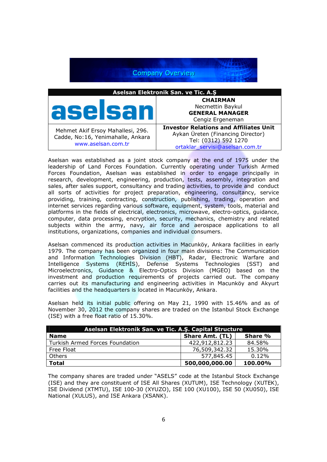

Aselsan was established as a joint stock company at the end of 1975 under the leadership of Land Forces Foundation. Currently operating under Turkish Armed Forces Foundation, Aselsan was established in order to engage principally in research, development, engineering, production, tests, assembly, integration and sales, after sales support, consultancy and trading activities, to provide and conduct all sorts of activities for project preparation, engineering, consultancy, service providing, training, contracting, construction, publishing, trading, operation and internet services regarding various software, equipment, system, tools, material and platforms in the fields of electrical, electronics, microwave, electro-optics, guidance, computer, data processing, encryption, security, mechanics, chemistry and related subjects within the army, navy, air force and aerospace applications to all institutions, organizations, companies and individual consumers.

Aselsan commenced its production activities in Macunköy, Ankara facilities in early 1979. The company has been organized in four main divisions: The Communication and Information Technologies Division (HBT), Radar, Electronic Warfare and Intelligence Systems (REHIS), Defense Systems Technologies (SST) and Microelectronics, Guidance & Electro-Optics Division (MGEO) based on the investment and production requirements of projects carried out. The company carries out its manufacturing and engineering activities in Macunköy and Akyurt facilities and the headquarters is located in Macunköy, Ankara.

Aselsan held its initial public offering on May 21, 1990 with 15.46% and as of November 30, 2012 the company shares are traded on the Istanbul Stock Exchange (ISE) with a free float ratio of 15.30%.

| Aselsan Elektronik San. ve Tic. A.S. Capital Structure |                        |         |  |  |
|--------------------------------------------------------|------------------------|---------|--|--|
| <b>Name</b>                                            | <b>Share Amt. (TL)</b> | Share % |  |  |
| Turkish Armed Forces Foundation                        | 422,912,812.23         | 84.58%  |  |  |
| Free Float                                             | 76,509,342.32          | 15.30%  |  |  |
| Others                                                 | 577,845.45             | 0.12%   |  |  |
| <b>Total</b>                                           | 500,000,000.00         | 100.00% |  |  |

The company shares are traded under "ASELS" code at the Istanbul Stock Exchange (ISE) and they are constituent of ISE All Shares (XUTUM), ISE Technology (XUTEK), ISE Dividend (XTMTU), ISE 100-30 (XYUZO), ISE 100 (XU100), ISE 50 (XU050), ISE National (XULUS), and ISE Ankara (XSANK).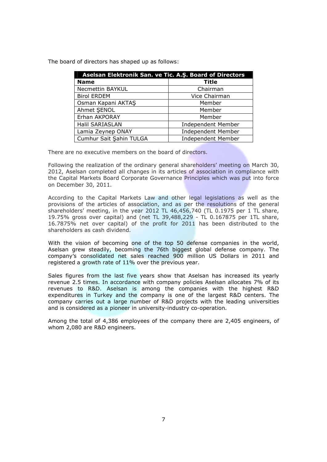The board of directors has shaped up as follows:

| Aselsan Elektronik San. ve Tic. A.Ş. Board of Directors |                           |  |  |
|---------------------------------------------------------|---------------------------|--|--|
| <b>Name</b>                                             | Title                     |  |  |
| Necmettin BAYKUL                                        | Chairman                  |  |  |
| <b>Birol ERDEM</b>                                      | Vice Chairman             |  |  |
| Osman Kapani AKTAS                                      | Member                    |  |  |
| Ahmet SENOL                                             | Member                    |  |  |
| Erhan AKPORAY                                           | Member                    |  |  |
| Halil SARIASLAN                                         | <b>Independent Member</b> |  |  |
| Lamia Zeynep ONAY                                       | <b>Independent Member</b> |  |  |
| Cumhur Sait Şahin TULGA                                 | <b>Independent Member</b> |  |  |

There are no executive members on the board of directors.

Following the realization of the ordinary general shareholders' meeting on March 30, 2012, Aselsan completed all changes in its articles of association in compliance with the Capital Markets Board Corporate Governance Principles which was put into force on December 30, 2011.

According to the Capital Markets Law and other legal legislations as well as the provisions of the articles of association, and as per the resolutions of the general shareholders' meeting, in the year 2012 TL 46,456,740 (TL 0.1975 per 1 TL share, 19.75% gross over capital) and (net TL 39,488,229 - TL 0.167875 per 1TL share, 16.7875% net over capital) of the profit for 2011 has been distributed to the shareholders as cash dividend.

With the vision of becoming one of the top 50 defense companies in the world, Aselsan grew steadily, becoming the 76th biggest global defense company. The company's consolidated net sales reached 900 million US Dollars in 2011 and registered a growth rate of 11% over the previous year.

Sales figures from the last five years show that Aselsan has increased its yearly revenue 2.5 times. In accordance with company policies Aselsan allocates 7% of its revenues to R&D. Aselsan is among the companies with the highest R&D expenditures in Turkey and the company is one of the largest R&D centers. The company carries out a large number of R&D projects with the leading universities and is considered as a pioneer in university-industry co-operation.

Among the total of 4,386 employees of the company there are 2,405 engineers, of whom 2,080 are R&D engineers.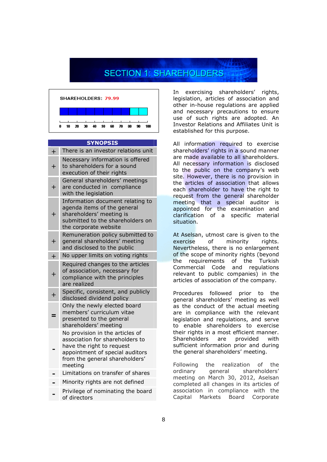# **SECTION 1: SHAREHOLDERS**



### **SYNOPSIS**

| $\boldsymbol{+}$ | There is an investor relations unit                                                                                                                                             |
|------------------|---------------------------------------------------------------------------------------------------------------------------------------------------------------------------------|
| $\overline{+}$   | Necessary information is offered<br>to shareholders for a sound<br>execution of their rights                                                                                    |
| $\ddag$          | General shareholders' meetings<br>are conducted in compliance<br>with the legislation                                                                                           |
| $\boldsymbol{+}$ | Information document relating to<br>agenda items of the general<br>shareholders' meeting is<br>submitted to the shareholders on<br>the corporate website                        |
| $\boldsymbol{+}$ | Remuneration policy submitted to<br>general shareholders' meeting<br>and disclosed to the public                                                                                |
| $\ddot{+}$       | No upper limits on voting rights                                                                                                                                                |
| $\overline{+}$   | Required changes to the articles<br>of association, necessary for<br>compliance with the principles<br>are realized                                                             |
| $\ddot{}$        | Specific, consistent, and publicly<br>disclosed dividend policy                                                                                                                 |
|                  | Only the newly elected board<br>members' curriculum vitae<br>presented to the general<br>shareholders' meeting                                                                  |
|                  | No provision in the articles of<br>association for shareholders to<br>have the right to request<br>appointment of special auditors<br>from the general shareholders'<br>meeting |
|                  | Limitations on transfer of shares                                                                                                                                               |
|                  | Minority rights are not defined                                                                                                                                                 |
|                  | Privilege of nominating the board<br>of directors                                                                                                                               |

In exercising shareholders' rights, legislation, articles of association and other in-house regulations are applied and necessary precautions to ensure use of such rights are adopted. An Investor Relations and Affiliates Unit is established for this purpose.

All information required to exercise shareholders' rights in a sound manner are made available to all shareholders. All necessary information is disclosed to the public on the company's web site. However, there is no provision in the articles of association that allows each shareholder to have the right to request from the general shareholder meeting that a special auditor is appointed for the examination and clarification of a specific material situation.

At Aselsan, utmost care is given to the exercise of minority rights. Nevertheless, there is no enlargement of the scope of minority rights (beyond the requirements of the Turkish Commercial Code and regulations relevant to public companies) in the articles of association of the company.

Procedures followed prior to the general shareholders' meeting as well as the conduct of the actual meeting are in compliance with the relevant legislation and regulations, and serve to enable shareholders to exercise their rights in a most efficient manner. Shareholders are provided with sufficient information prior and during the general shareholders' meeting.

Following the realization of the ordinary general shareholders' meeting on March 30, 2012, Aselsan completed all changes in its articles of association in compliance with the Capital Markets Board Corporate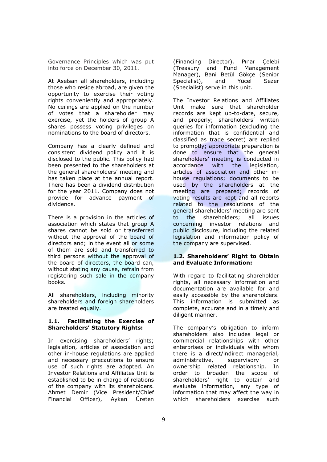Governance Principles which was put into force on December 30, 2011.

At Aselsan all shareholders, including those who reside abroad, are given the opportunity to exercise their voting rights conveniently and appropriately. No ceilings are applied on the number of votes that a shareholder may exercise, yet the holders of group A shares possess voting privileges on nominations to the board of directors.

Company has a clearly defined and consistent dividend policy and it is disclosed to the public. This policy had been presented to the shareholders at the general shareholders' meeting and has taken place at the annual report. There has been a dividend distribution for the year 2011. Company does not provide for advance payment of dividends.

There is a provision in the articles of association which states that group A shares cannot be sold or transferred without the approval of the board of directors and; in the event all or some of them are sold and transferred to third persons without the approval of the board of directors, the board can, without stating any cause, refrain from registering such sale in the company books.

All shareholders, including minority shareholders and foreign shareholders are treated equally.

# **1.1. Facilitating the Exercise of Shareholders' Statutory Rights:**

In exercising shareholders' rights; legislation, articles of association and other in-house regulations are applied and necessary precautions to ensure use of such rights are adopted. An Investor Relations and Affiliates Unit is established to be in charge of relations of the company with its shareholders. Ahmet Demir (Vice President/Chief Financial Officer), Aykan Üreten

(Financing Director), Pınar Çelebi (Treasury and Fund Management Manager), Bani Betül Gökçe (Senior Specialist), and Yücel Sezer (Specialist) serve in this unit.

The Investor Relations and Affiliates Unit make sure that shareholder records are kept up-to-date, secure, and properly; shareholders' written queries for information (excluding the information that is confidential and classified as trade secret) are replied to promptly; appropriate preparation is done to ensure that the general shareholders' meeting is conducted in accordance with the legislation, articles of association and other inhouse regulations; documents to be used by the shareholders at the meeting are prepared; records of voting results are kept and all reports related to the resolutions of the general shareholders' meeting are sent to the shareholders; all issues concerning investor relations and public disclosure, including the related legislation and information policy of the company are supervised.

# **1.2. Shareholders' Right to Obtain and Evaluate Information:**

With regard to facilitating shareholder rights, all necessary information and documentation are available for and easily accessible by the shareholders. This information is submitted as complete, accurate and in a timely and diligent manner.

The company's obligation to inform shareholders also includes legal or commercial relationships with other enterprises or individuals with whom there is a direct/indirect managerial, administrative, supervisory or ownership related relationship. In order to broaden the scope of shareholders' right to obtain and evaluate information, any type of information that may affect the way in which shareholders exercise such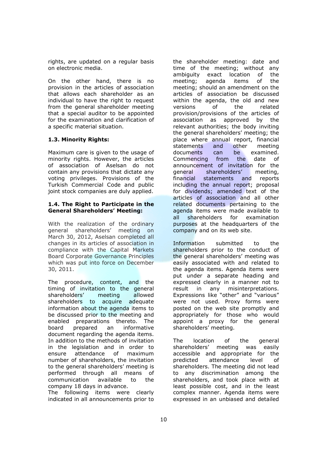rights, are updated on a regular basis on electronic media.

On the other hand, there is no provision in the articles of association that allows each shareholder as an individual to have the right to request from the general shareholder meeting that a special auditor to be appointed for the examination and clarification of a specific material situation.

# **1.3. Minority Rights:**

Maximum care is given to the usage of minority rights. However, the articles of association of Aselsan do not contain any provisions that dictate any voting privileges. Provisions of the Turkish Commercial Code and public joint stock companies are duly applied.

# **1.4. The Right to Participate in the General Shareholders' Meeting:**

With the realization of the ordinary general shareholders' meeting on March 30, 2012, Aselsan completed all changes in its articles of association in compliance with the Capital Markets Board Corporate Governance Principles which was put into force on December 30, 2011.

The procedure, content, and the timing of invitation to the general shareholders' meeting allowed shareholders to acquire adequate information about the agenda items to be discussed prior to the meeting and enabled preparations thereto. The board prepared an informative document regarding the agenda items. In addition to the methods of invitation in the legislation and in order to ensure attendance of maximum number of shareholders, the invitation to the general shareholders' meeting is performed through all means of communication available to the company 18 days in advance.

The following items were clearly indicated in all announcements prior to the shareholder meeting: date and time of the meeting; without any ambiguity exact location of the meeting; agenda items of the meeting; should an amendment on the articles of association be discussed within the agenda, the old and new versions of the related provision/provisions of the articles of association as approved by the relevant authorities; the body inviting the general shareholders' meeting; the place where annual report, financial statements and other meeting documents can be examined. Commencing from the date of announcement of invitation for the general shareholders' meeting, financial statements and reports including the annual report; proposal for dividends; amended text of the articles of association and all other related documents pertaining to the agenda items were made available to all shareholders for examination purposes at the headquarters of the company and on its web site.

Information submitted to the shareholders prior to the conduct of the general shareholders' meeting was easily associated with and related to the agenda items. Agenda items were put under a separate heading and expressed clearly in a manner not to result in any misinterpretations. Expressions like "other" and "various" were not used. Proxy forms were posted on the web site promptly and appropriately for those who would appoint a proxy for the general shareholders' meeting.

The location of the general shareholders' meeting was easily accessible and appropriate for the predicted attendance level of shareholders. The meeting did not lead to any discrimination among the shareholders, and took place with at least possible cost, and in the least complex manner. Agenda items were expressed in an unbiased and detailed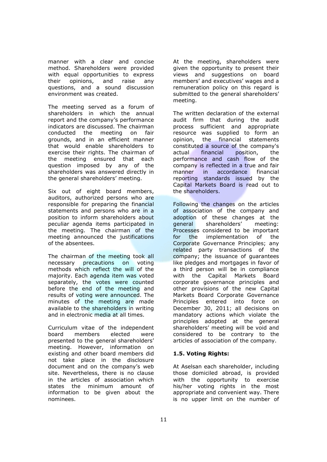manner with a clear and concise method. Shareholders were provided with equal opportunities to express their opinions, and raise any questions, and a sound discussion environment was created.

The meeting served as a forum of shareholders in which the annual report and the company's performance indicators are discussed. The chairman<br>conducted the meeting on fair conducted the meeting grounds, and in an efficient manner that would enable shareholders to exercise their rights. The chairman of the meeting ensured that each question imposed by any of the shareholders was answered directly in the general shareholders' meeting.

Six out of eight board members, auditors, authorized persons who are responsible for preparing the financial statements and persons who are in a position to inform shareholders about peculiar agenda items participated in the meeting. The chairman of the meeting announced the justifications of the absentees.

The chairman of the meeting took all necessary precautions on voting methods which reflect the will of the majority. Each agenda item was voted separately, the votes were counted before the end of the meeting and results of voting were announced. The minutes of the meeting are made available to the shareholders in writing and in electronic media at all times.

Curriculum vitae of the independent board members elected were presented to the general shareholders' meeting. However, information on existing and other board members did not take place in the disclosure document and on the company's web site. Nevertheless, there is no clause in the articles of association which states the minimum amount of information to be given about the nominees.

At the meeting, shareholders were given the opportunity to present their views and suggestions on board members' and executives' wages and a remuneration policy on this regard is submitted to the general shareholders' meeting.

The written declaration of the external audit firm that during the audit process sufficient and appropriate resource was supplied to form an opinion, the financial statements constituted a source of the company's actual financial position, the performance and cash flow of the company is reflected in a true and fair manner in accordance financial reporting standards issued by the Capital Markets Board is read out to the shareholders.

Following the changes on the articles of association of the company and adoption of these changes at the general shareholders' meeting: Processes considered to be important for the implementation of the Corporate Governance Principles; any related party transactions of the company; the issuance of guarantees like pledges and mortgages in favor of a third person will be in compliance with the Capital Markets Board corporate governance principles and other provisions of the new Capital Markets Board Corporate Governance Principles entered into force on December 30, 2011; all decisions on mandatory actions which violate the principles adopted at the general shareholders' meeting will be void and considered to be contrary to the articles of association of the company.

# **1.5. Voting Rights:**

At Aselsan each shareholder, including those domiciled abroad, is provided with the opportunity to exercise his/her voting rights in the most appropriate and convenient way. There is no upper limit on the number of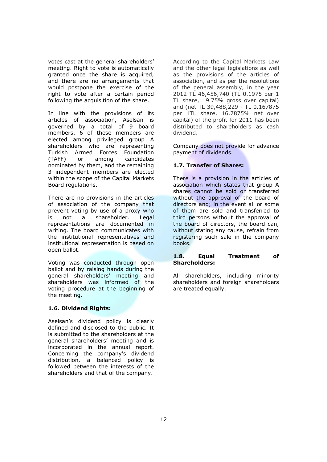votes cast at the general shareholders' meeting. Right to vote is automatically granted once the share is acquired, and there are no arrangements that would postpone the exercise of the right to vote after a certain period following the acquisition of the share.

In line with the provisions of its articles of association, Aselsan is governed by a total of 9 board members. 6 of these members are elected among privileged group A shareholders who are representing Turkish Armed Forces Foundation (TAFF) or among candidates nominated by them, and the remaining 3 independent members are elected within the scope of the Capital Markets Board regulations.

There are no provisions in the articles of association of the company that prevent voting by use of a proxy who is not a shareholder. Legal representations are documented in writing. The board communicates with the institutional representatives and institutional representation is based on open ballot.

Voting was conducted through open ballot and by raising hands during the general shareholders' meeting and shareholders was informed of the voting procedure at the beginning of the meeting.

### **1.6. Dividend Rights:**

Aselsan's dividend policy is clearly defined and disclosed to the public. It is submitted to the shareholders at the general shareholders' meeting and is incorporated in the annual report. Concerning the company's dividend distribution, a balanced policy is followed between the interests of the shareholders and that of the company.

According to the Capital Markets Law and the other legal legislations as well as the provisions of the articles of association, and as per the resolutions of the general assembly, in the year 2012 TL 46,456,740 (TL 0.1975 per 1 TL share, 19.75% gross over capital) and (net TL 39,488,229 - TL 0.167875 per 1TL share, 16.7875% net over capital) of the profit for 2011 has been distributed to shareholders as cash dividend.

Company does not provide for advance payment of dividends.

# **1.7. Transfer of Shares:**

There is a provision in the articles of association which states that group A shares cannot be sold or transferred without the approval of the board of directors and; in the event all or some of them are sold and transferred to third persons without the approval of the board of directors, the board can, without stating any cause, refrain from registering such sale in the company books.

# **1.8. Equal Treatment of Shareholders:**

All shareholders, including minority shareholders and foreign shareholders are treated equally.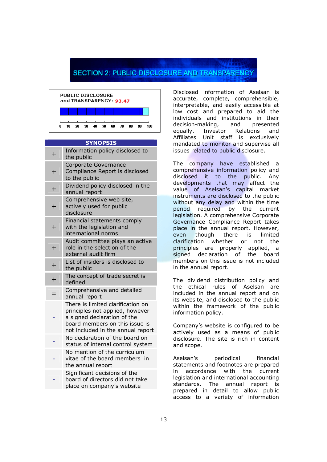# **SECTION 2: PUBLIC DISCLOSURE AND TRANSPARENCY**



### **SYNOPSIS**

| $\ddot{}$ | Information policy disclosed to<br>the public                                                                                                                              |
|-----------|----------------------------------------------------------------------------------------------------------------------------------------------------------------------------|
| $\ddag$   | Corporate Governance<br>Compliance Report is disclosed<br>to the public                                                                                                    |
| $\ddot{}$ | Dividend policy disclosed in the<br>annual report                                                                                                                          |
| $\ddot{}$ | Comprehensive web site,<br>actively used for public<br>disclosure                                                                                                          |
| $\ddot{}$ | Financial statements comply<br>with the legislation and<br>international norms                                                                                             |
| $\ddot{}$ | Audit committee plays an active<br>role in the selection of the<br>external audit firm                                                                                     |
| $\ddot{}$ | List of insiders is disclosed to<br>the public                                                                                                                             |
| $\ddot{}$ | The concept of trade secret is<br>defined                                                                                                                                  |
| $=$       | Comprehensive and detailed<br>annual report                                                                                                                                |
|           | There is limited clarification on<br>principles not applied, however<br>a signed declaration of the<br>board members on this issue is<br>not included in the annual report |
|           | No declaration of the board on<br>status of internal control system                                                                                                        |
|           | No mention of the curriculum<br>vitae of the board members in<br>the annual report                                                                                         |
|           | Significant decisions of the<br>board of directors did not take<br>place on company's website                                                                              |

Disclosed information of Aselsan is accurate, complete, comprehensible, interpretable, and easily accessible at low cost and prepared to aid the individuals and institutions in their decision-making, and presented equally. Investor Relations and Affiliates Unit staff is exclusively mandated to monitor and supervise all issues related to public disclosure.

The company have established a comprehensive information policy and disclosed it to the public. Any developments that may affect the value of Aselsan's capital market instruments are disclosed to the public without any delay and within the time period required by the current legislation. A comprehensive Corporate Governance Compliance Report takes place in the annual report. However, even though there is limited clarification whether or not the principles are properly applied, a signed declaration of the board members on this issue is not included in the annual report.

The dividend distribution policy and the ethical rules of Aselsan are included in the annual report and on its website, and disclosed to the public within the framework of the public information policy.

Company's website is configured to be actively used as a means of public disclosure. The site is rich in content and scope.

Aselsan's periodical financial statements and footnotes are prepared in accordance with the current legislation and international accounting standards. The annual report is prepared in detail to allow public access to a variety of information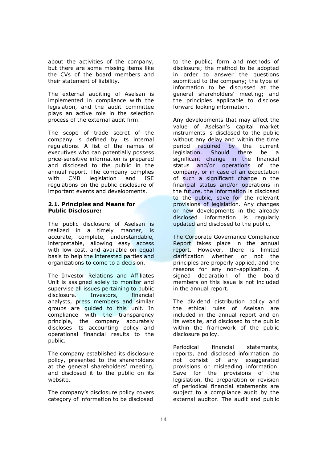about the activities of the company, but there are some missing items like the CVs of the board members and their statement of liability.

The external auditing of Aselsan is implemented in compliance with the legislation, and the audit committee plays an active role in the selection process of the external audit firm.

The scope of trade secret of the company is defined by its internal regulations. A list of the names of executives who can potentially possess price-sensitive information is prepared and disclosed to the public in the annual report. The company complies with CMB legislation and ISE regulations on the public disclosure of important events and developments.

# **2.1. Principles and Means for Public Disclosure:**

The public disclosure of Aselsan is realized in a timely manner, is accurate, complete, understandable, interpretable, allowing easy access with low cost, and available on equal basis to help the interested parties and organizations to come to a decision.

The Investor Relations and Affiliates Unit is assigned solely to monitor and supervise all issues pertaining to public disclosure. Investors, financial analysts, press members and similar groups are guided to this unit. In compliance with the transparency principle, the company accurately discloses its accounting policy and operational financial results to the public.

The company established its disclosure policy, presented to the shareholders at the general shareholders' meeting, and disclosed it to the public on its website.

The company's disclosure policy covers category of information to be disclosed

to the public; form and methods of disclosure; the method to be adopted in order to answer the questions submitted to the company; the type of information to be discussed at the general shareholders' meeting; and the principles applicable to disclose forward looking information.

Any developments that may affect the value of Aselsan's capital market instruments is disclosed to the public without any delay and within the time period required by the current legislation. Should there be a significant change in the financial status and/or operations of the company, or in case of an expectation of such a significant change in the financial status and/or operations in the future, the information is disclosed to the public, save for the relevant provisions of legislation. Any changes or new developments in the already disclosed information is regularly updated and disclosed to the public.

The Corporate Governance Compliance Report takes place in the annual report. However, there is limited clarification whether or not the principles are properly applied, and the reasons for any non-application. A signed declaration of the board members on this issue is not included in the annual report.

The dividend distribution policy and the ethical rules of Aselsan are included in the annual report and on its website, and disclosed to the public within the framework of the public disclosure policy.

Periodical financial statements, reports, and disclosed information do not consist of any exaggerated provisions or misleading information. Save for the provisions of the legislation, the preparation or revision of periodical financial statements are subject to a compliance audit by the external auditor. The audit and public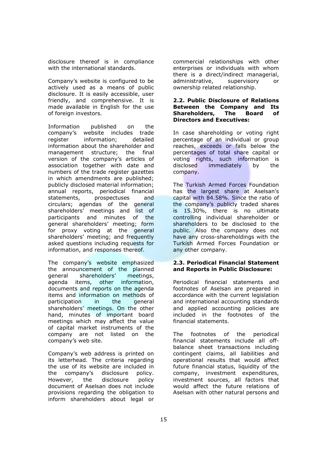disclosure thereof is in compliance with the international standards.

Company's website is configured to be actively used as a means of public disclosure. It is easily accessible, user friendly, and comprehensive. It is made available in English for the use of foreign investors.

Information published on the company's website includes trade register information; detailed information about the shareholder and management structure; the final version of the company's articles of association together with date and numbers of the trade register gazettes in which amendments are published; publicly disclosed material information; annual reports, periodical financial statements, prospectuses and circulars; agendas of the general shareholders' meetings and list of participants and minutes of the general shareholders' meeting; form for proxy voting at the general shareholders' meeting; and frequently asked questions including requests for information, and responses thereof.

The company's website emphasized the announcement of the planned general shareholders' meetings, agenda items, other information, documents and reports on the agenda items and information on methods of participation in the general shareholders' meetings. On the other hand, minutes of important board meetings which may affect the value of capital market instruments of the company are not listed on the company's web site.

Company's web address is printed on its letterhead. The criteria regarding the use of its website are included in the company's disclosure policy. However, the disclosure policy document of Aselsan does not include provisions regarding the obligation to inform shareholders about legal or

commercial relationships with other enterprises or individuals with whom there is a direct/indirect managerial, administrative, supervisory or ownership related relationship.

# **2.2. Public Disclosure of Relations Between the Company and Its Shareholders, The Board of Directors and Executives:**

In case shareholding or voting right percentage of an individual or group reaches, exceeds or falls below the percentages of total share capital or voting rights, such information is disclosed immediately by the company.

The Turkish Armed Forces Foundation has the largest share at Aselsan's capital with 84.58%. Since the ratio of the company's publicly traded shares is 15.30%, there is no ultimate controlling individual shareholder or shareholders to be disclosed to the public. Also the company does not have any cross-shareholdings with the Turkish Armed Forces Foundation or any other company.

# **2.3. Periodical Financial Statement and Reports in Public Disclosure:**

Periodical financial statements and footnotes of Aselsan are prepared in accordance with the current legislation and international accounting standards and applied accounting policies are included in the footnotes of the financial statements.

The footnotes of the periodical financial statements include all offbalance sheet transactions including contingent claims, all liabilities and operational results that would affect future financial status, liquidity of the company, investment expenditures, investment sources, all factors that would affect the future relations of Aselsan with other natural persons and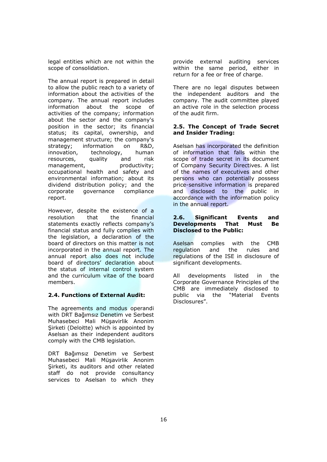legal entities which are not within the scope of consolidation.

The annual report is prepared in detail to allow the public reach to a variety of information about the activities of the company. The annual report includes information about the scope of activities of the company; information about the sector and the company's position in the sector; its financial status; its capital, ownership, and management structure; the company's strategy; information on R&D, innovation, technology, human resources, quality and risk management, productivity; occupational health and safety and environmental information; about its dividend distribution policy; and the corporate governance compliance report.

However, despite the existence of a resolution that the financial statements exactly reflects company's financial status and fully complies with the legislation, a declaration of the board of directors on this matter is not incorporated in the annual report. The annual report also does not include board of directors' declaration about the status of internal control system and the curriculum vitae of the board members.

# **2.4. Functions of External Audit:**

The agreements and modus operandi with DRT Bağımsız Denetim ve Serbest Muhasebeci Mali Müşavirlik Anonim Şirketi (Deloitte) which is appointed by Aselsan as their independent auditors comply with the CMB legislation.

DRT Bağımsız Denetim ve Serbest Muhasebeci Mali Müşavirlik Anonim Şirketi, its auditors and other related staff do not provide consultancy services to Aselsan to which they provide external auditing services within the same period, either in return for a fee or free of charge.

There are no legal disputes between the independent auditors and the company. The audit committee played an active role in the selection process of the audit firm.

# **2.5. The Concept of Trade Secret and Insider Trading:**

Aselsan has incorporated the definition of information that falls within the scope of trade secret in its document of Company Security Directives. A list of the names of executives and other persons who can potentially possess price-sensitive information is prepared and disclosed to the public in accordance with the information policy in the annual report.

# **2.6. Significant Events and Developments That Must Be Disclosed to the Public:**

Aselsan complies with the CMB regulation and the rules and regulations of the ISE in disclosure of significant developments.

All developments listed in the Corporate Governance Principles of the CMB are immediately disclosed to public via the "Material Events Disclosures".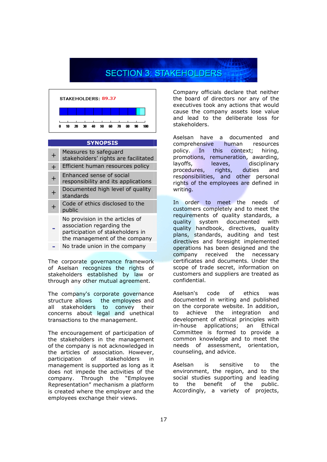# **SECTION 3: STAKEHOLDERS**



# **SYNOPSIS**

|   | Measures to safeguard<br>stakeholders' rights are facilitated                                                                     |
|---|-----------------------------------------------------------------------------------------------------------------------------------|
| ┿ | Efficient human resources policy                                                                                                  |
|   | Enhanced sense of social<br>responsibility and its applications                                                                   |
|   | Documented high level of quality<br>standards                                                                                     |
|   | Code of ethics disclosed to the<br>public                                                                                         |
|   | No provision in the articles of<br>association regarding the<br>participation of stakeholders in<br>the management of the company |
|   | No trade union in the company                                                                                                     |

The corporate governance framework of Aselsan recognizes the rights of stakeholders established by law or through any other mutual agreement.

The company's corporate governance structure allows the employees and all stakeholders to convey their concerns about legal and unethical transactions to the management.

The encouragement of participation of the stakeholders in the management of the company is not acknowledged in the articles of association. However, participation of stakeholders in management is supported as long as it does not impede the activities of the company. Through the "Employee Representation" mechanism a platform is created where the employer and the employees exchange their views.

Company officials declare that neither the board of directors nor any of the executives took any actions that would cause the company assets lose value and lead to the deliberate loss for stakeholders.

Aselsan have a documented and comprehensive human resources policy. In this context; hiring, promotions, remuneration, awarding, layoffs, leaves, disciplinary procedures, rights, duties and responsibilities, and other personal rights of the employees are defined in writing.

In order to meet the needs of customers completely and to meet the requirements of quality standards, a quality system documented with quality handbook, directives, quality plans, standards, auditing and test directives and foresight implemented operations has been designed and the company received the necessary certificates and documents. Under the scope of trade secret, information on customers and suppliers are treated as confidential.

Aselsan's code of ethics was documented in writing and published on the corporate website. In addition, to achieve the integration and development of ethical principles with in-house applications; an Ethical Committee is formed to provide a common knowledge and to meet the needs of assessment, orientation, counseling, and advice.

Aselsan is sensitive to the environment, the region, and to the social studies supporting and leading to the benefit of the public. Accordingly, a variety of projects,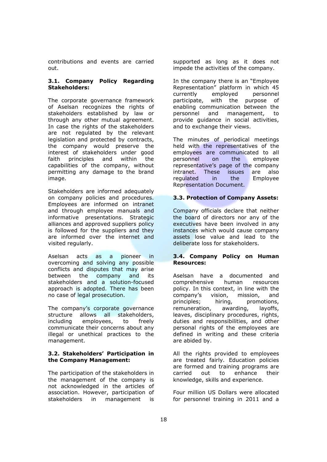contributions and events are carried out.

# **3.1. Company Policy Regarding Stakeholders:**

The corporate governance framework of Aselsan recognizes the rights of stakeholders established by law or through any other mutual agreement. In case the rights of the stakeholders are not regulated by the relevant legislation and protected by contracts, the company would preserve the interest of stakeholders under good faith principles and within the capabilities of the company, without permitting any damage to the brand image.

Stakeholders are informed adequately on company policies and procedures. Employees are informed on intranet and through employee manuals and informative presentations. Strategic alliances and approved suppliers policy is followed for the suppliers and they are informed over the internet and visited regularly.

Aselsan acts as a pioneer in overcoming and solving any possible conflicts and disputes that may arise between the company and its stakeholders and a solution-focused approach is adopted. There has been no case of legal prosecution.

The company's corporate governance structure allows all stakeholders, including employees, to freely communicate their concerns about any illegal or unethical practices to the management.

# **3.2. Stakeholders' Participation in the Company Management:**

The participation of the stakeholders in the management of the company is not acknowledged in the articles of association. However, participation of stakeholders in management is supported as long as it does not impede the activities of the company.

In the company there is an "Employee Representation" platform in which 45 currently employed personnel participate, with the purpose of enabling communication between the personnel and management, to provide guidance in social activities, and to exchange their views.

The minutes of periodical meetings held with the representatives of the employees are communicated to all personnel on the employee representative's page of the company intranet. These issues are also regulated in the Employee Representation Document.

# **3.3. Protection of Company Assets:**

Company officials declare that neither the board of directors nor any of the executives have been involved in any instances which would cause company assets lose value and lead to the deliberate loss for stakeholders.

# **3.4. Company Policy on Human Resources:**

Aselsan have a documented and comprehensive human resources policy. In this context, in line with the company's vision, mission, and principles; hiring, promotions, remuneration, awarding, layoffs, leaves, disciplinary procedures, rights, duties and responsibilities, and other personal rights of the employees are defined in writing and these criteria are abided by.

All the rights provided to employees are treated fairly. Education policies are formed and training programs are carried out to enhance their knowledge, skills and experience.

Four million US Dollars were allocated for personnel training in 2011 and a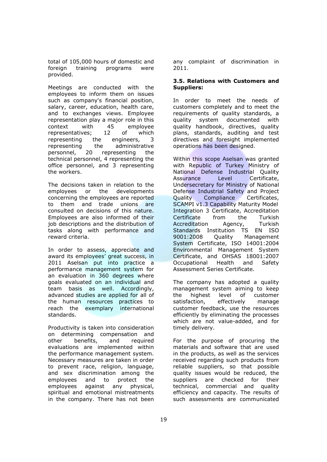total of 105,000 hours of domestic and foreign training programs were provided.

Meetings are conducted with the employees to inform them on issues such as company's financial position, salary, career, education, health care, and to exchanges views. Employee representation play a major role in this context with 45 employee<br>representatives: 12 of which representatives; 12 of which representing the engineers, 3 representing the administrative<br>personnel. 20 representing the personnel, 20 representing the technical personnel, 4 representing the office personnel, and 3 representing the workers.

The decisions taken in relation to the employees or the developments concerning the employees are reported to them and trade unions are consulted on decisions of this nature. Employees are also informed of their job descriptions and the distribution of tasks along with performance and reward criteria.

In order to assess, appreciate and award its employees' great success, in 2011 Aselsan put into practice a performance management system for an evaluation in 360 degrees where goals evaluated on an individual and team basis as well. Accordingly, advanced studies are applied for all of the human resources practices to reach the exemplary international standards.

Productivity is taken into consideration on determining compensation and other benefits, and required evaluations are implemented within the performance management system. Necessary measures are taken in order to prevent race, religion, language, and sex discrimination among the employees and to protect the employees against any physical, spiritual and emotional mistreatments in the company. There has not been

any complaint of discrimination in 2011.

# **3.5. Relations with Customers and Suppliers:**

In order to meet the needs of customers completely and to meet the requirements of quality standards, a quality system documented with quality handbook, directives, quality plans, standards, auditing and test directives and foresight implemented operations has been designed.

Within this scope Aselsan was granted with Republic of Turkey Ministry of National Defense Industrial Quality Assurance Level Certificate, Undersecretary for Ministry of National Defense Industrial Safety and Project Quality Compliance Certificates, SCAMPI v1.3 Capability Maturity Model Integration 3 Certificate, Accreditation Certificate from the Turkish Accreditation Agency, Turkish Standards Institution TS EN ISO 9001:2008 Quality Management System Certificate, ISO 14001:2004 Environmental Management System Certificate, and OHSAS 18001:2007 Occupational Health and Safety Assessment Series Certificate.

The company has adopted a quality management system aiming to keep the highest level of customer satisfaction, effectively manage customer feedback, use the resources efficiently by eliminating the processes which are not value-added, and for timely delivery.

For the purpose of procuring the materials and software that are used in the products, as well as the services received regarding such products from reliable suppliers, so that possible quality issues would be reduced, the suppliers are checked for their technical, commercial and quality efficiency and capacity. The results of such assessments are communicated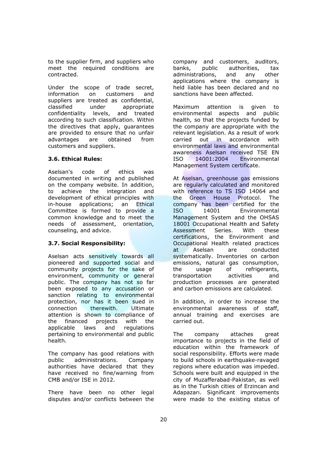to the supplier firm, and suppliers who meet the required conditions are contracted.

Under the scope of trade secret, information on customers and suppliers are treated as confidential, classified under appropriate confidentiality levels, and treated according to such classification. Within the directives that apply, guarantees are provided to ensure that no unfair advantages are obtained from customers and suppliers.

# **3.6. Ethical Rules:**

Aselsan's code of ethics was documented in writing and published on the company website. In addition, to achieve the integration and development of ethical principles with in-house applications; an Ethical Committee is formed to provide a common knowledge and to meet the needs of assessment, orientation, counseling, and advice.

# **3.7. Social Responsibility:**

Aselsan acts sensitively towards all pioneered and supported social and community projects for the sake of environment, community or general public. The company has not so far been exposed to any accusation or sanction relating to environmental protection, nor has it been sued in connection therewith. Ultimate attention is shown to compliance of the financed projects with the applicable laws and regulations pertaining to environmental and public health.

The company has good relations with public administrations. Company authorities have declared that they have received no fine/warning from CMB and/or ISE in 2012.

There have been no other legal disputes and/or conflicts between the

company and customers, auditors, banks, public authorities, tax administrations, and any other applications where the company is held liable has been declared and no sanctions have been affected.

Maximum attention is given to environmental aspects and public health, so that the projects funded by the company are appropriate with the relevant legislation. As a result of work carried out in accordance with environmental laws and environmental awareness Aselsan received TSE EN ISO 14001:2004 Environmental Management System certificate.

At Aselsan, greenhouse gas emissions are regularly calculated and monitored with reference to TS ISO 14064 and the Green House Protocol. The company has been certified for the ISO 14001 Environmental Management System and the OHSAS 18001 Occupational Health and Safety Assessment Series. With these certifications, the Environment and Occupational Health related practices at Aselsan are conducted systematically. Inventories on carbon emissions, natural gas consumption, the usage of refrigerants, transportation activities and production processes are generated and carbon emissions are calculated.

In addition, in order to increase the environmental awareness of staff, annual training and exercises are carried out.

The company attaches great importance to projects in the field of education within the framework of social responsibility. Efforts were made to build schools in earthquake-ravaged regions where education was impeded. Schools were built and equipped in the city of Muzafferabad-Pakistan, as well as in the Turkish cities of Erzincan and Adapazarı. Significant improvements were made to the existing status of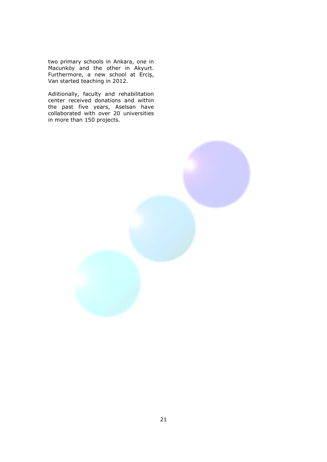two primary schools in Ankara, one in Macunköy and the other in Akyurt. Furthermore, a new school at Erciş, Van started teaching in 2012.

Adiitionally, faculty and rehabilitation center received donations and within the past five years, Aselsan have collaborated with over 20 universities in more than 150 projects.

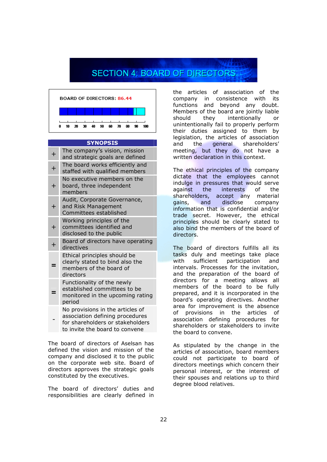# **SECTION 4: BOARD OF DIRECTORS**



### **SYNOPSIS**

| $\boldsymbol{+}$ | The company's vision, mission<br>and strategic goals are defined                                                                          |
|------------------|-------------------------------------------------------------------------------------------------------------------------------------------|
| $\overline{+}$   | The board works efficiently and<br>staffed with qualified members                                                                         |
| $\boldsymbol{+}$ | No executive members on the<br>board, three independent<br>members                                                                        |
| ┿                | Audit, Corporate Governance,<br>and Risk Management<br>Committees established                                                             |
| $\boldsymbol{+}$ | Working principles of the<br>committees identified and<br>disclosed to the public                                                         |
|                  | Board of directors have operating<br>directives                                                                                           |
|                  | Ethical principles should be<br>clearly stated to bind also the<br>members of the board of<br>directors                                   |
|                  | Functionality of the newly<br>established committees to be<br>monitored in the upcoming rating<br>period                                  |
|                  | No provisions in the articles of<br>association defining procedures<br>for shareholders or stakeholders<br>to invite the board to convene |
|                  |                                                                                                                                           |

The board of directors of Aselsan has defined the vision and mission of the company and disclosed it to the public on the corporate web site. Board of directors approves the strategic goals constituted by the executives.

The board of directors' duties and responsibilities are clearly defined in

the articles of association of the company in consistence with its functions and beyond any doubt. Members of the board are jointly liable should they intentionally or unintentionally fail to properly perform their duties assigned to them by legislation, the articles of association and the general shareholders' meeting, but they do not have a written declaration in this context.

The ethical principles of the company dictate that the employees cannot indulge in pressures that would serve against the interests of the shareholders, accept any material gains, and disclose company information that is confidential and/or trade secret. However, the ethical principles should be clearly stated to also bind the members of the board of directors.

The board of directors fulfills all its tasks duly and meetings take place with sufficient participation and intervals. Processes for the invitation, and the preparation of the board of directors for a meeting allows all members of the board to be fully prepared, and it is incorporated in the board's operating directives. Another area for improvement is the absence of provisions in the articles of association defining procedures for shareholders or stakeholders to invite the board to convene.

As stipulated by the change in the articles of association, board members could not participate to board of directors meetings which concern their personal interest, or the interest of their spouses and relations up to third degree blood relatives.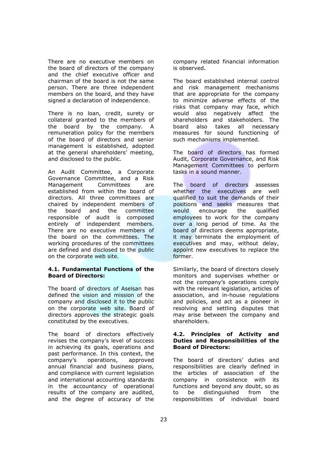There are no executive members on the board of directors of the company and the chief executive officer and chairman of the board is not the same person. There are three independent members on the board, and they have signed a declaration of independence.

There is no loan, credit, surety or collateral granted to the members of the board by the company. A remuneration policy for the members of the board of directors and senior management is established, adopted at the general shareholders' meeting, and disclosed to the public.

An Audit Committee, a Corporate Governance Committee, and a Risk Management Committees are established from within the board of directors. All three committees are chaired by independent members of the board and the committee responsible of audit is composed entirely of independent members. There are no executive members of the board on the committees. The working procedures of the committees are defined and disclosed to the public on the corporate web site.

### **4.1. Fundamental Functions of the Board of Directors:**

The board of directors of Aselsan has defined the vision and mission of the company and disclosed it to the public on the corporate web site. Board of directors approves the strategic goals constituted by the executives.

The board of directors effectively revises the company's level of success in achieving its goals, operations and past performance. In this context, the company's operations, approved annual financial and business plans, and compliance with current legislation and international accounting standards in the accountancy of operational results of the company are audited, and the degree of accuracy of the company related financial information is observed.

The board established internal control and risk management mechanisms that are appropriate for the company to minimize adverse effects of the risks that company may face, which would also negatively affect the shareholders and stakeholders. The board also takes all necessary measures for sound functioning of such mechanisms implemented.

The board of directors has formed Audit, Corporate Governance, and Risk Management Committees to perform tasks in a sound manner.

The board of directors assesses whether the executives are well qualified to suit the demands of their positions and seeks measures that would encourage the qualified employees to work for the company over a long period of time. As the board of directors deems appropriate, it may terminate the employment of executives and may, without delay, appoint new executives to replace the former.

Similarly, the board of directors closely monitors and supervises whether or not the company's operations comply with the relevant legislation, articles of association, and in-house regulations and policies, and act as a pioneer in resolving and settling disputes that may arise between the company and shareholders.

# **4.2. Principles of Activity and Duties and Responsibilities of the Board of Directors:**

The board of directors' duties and responsibilities are clearly defined in the articles of association of the company in consistence with its functions and beyond any doubt, so as to be distinguished from the responsibilities of individual board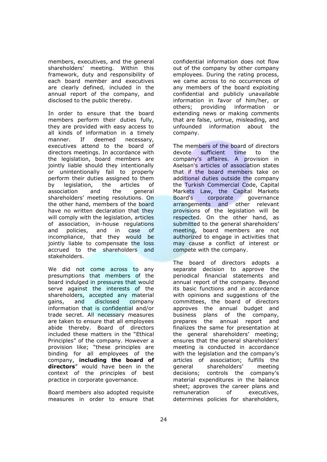members, executives, and the general shareholders' meeting. Within this framework, duty and responsibility of each board member and executives are clearly defined, included in the annual report of the company, and disclosed to the public thereby.

In order to ensure that the board members perform their duties fully, they are provided with easy access to all kinds of information in a timely manner. If deemed necessary, executives attend to the board of directors meetings. In accordance with the legislation, board members are jointly liable should they intentionally or unintentionally fail to properly perform their duties assigned to them by legislation, the articles of association and the general shareholders' meeting resolutions. On the other hand, members of the board have no written declaration that they will comply with the legislation, articles of association, in-house regulations and policies, and in case of incompliance, that they would be jointly liable to compensate the loss accrued to the shareholders and stakeholders.

We did not come across to any presumptions that members of the board indulged in pressures that would serve against the interests of the shareholders, accepted any material gains, and disclosed company information that is confidential and/or trade secret. All necessary measures are taken to ensure that all employees abide thereby. Board of directors included these matters in the "Ethical Principles" of the company. However a provision like; "these principles are binding for all employees of the company, **including the board of directors**" would have been in the context of the principles of best practice in corporate governance.

Board members also adopted requisite measures in order to ensure that

confidential information does not flow out of the company by other company employees. During the rating process, we came across to no occurrences of any members of the board exploiting confidential and publicly unavailable information in favor of him/her, or others; providing information or extending news or making comments that are false, untrue, misleading, and unfounded information about the company.

The members of the board of directors devote sufficient time to the company's affaires. A provision in Aselsan's articles of association states that if the board members take on additional duties outside the company the Turkish Commercial Code, Capital Markets Law, the Capital Markets Board's corporate governance arrangements and other relevant provisions of the legislation will be respected. On the other hand, as submitted to the general shareholders' meeting, board members are not authorized to engage in activities that may cause a conflict of interest or compete with the company.

The board of directors adopts a separate decision to approve the periodical financial statements and annual report of the company. Beyond its basic functions and in accordance with opinions and suggestions of the committees, the board of directors approves the annual budget and business plans of the company, prepares the annual report and finalizes the same for presentation at the general shareholders' meeting; ensures that the general shareholders' meeting is conducted in accordance with the legislation and the company's articles of association; fulfills the general shareholders' meeting decisions; controls the company's material expenditures in the balance sheet; approves the career plans and remuneration of executives, determines policies for shareholders,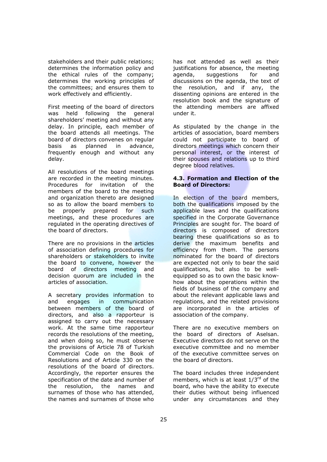stakeholders and their public relations; determines the information policy and the ethical rules of the company; determines the working principles of the committees; and ensures them to work effectively and efficiently.

First meeting of the board of directors was held following the general shareholders' meeting and without any delay. In principle, each member of the board attends all meetings. The board of directors convenes on regular basis as planned in advance, frequently enough and without any delay.

All resolutions of the board meetings are recorded in the meeting minutes. Procedures for invitation of the members of the board to the meeting and organization thereto are designed so as to allow the board members to be properly prepared for such meetings, and these procedures are regulated in the operating directives of the board of directors.

There are no provisions in the articles of association defining procedures for shareholders or stakeholders to invite the board to convene, however the board of directors meeting and decision quorum are included in the articles of association.

A secretary provides information to and engages in communication between members of the board of directors, and also a rapporteur is assigned to carry out the necessary work. At the same time rapporteur records the resolutions of the meeting, and when doing so, he must observe the provisions of Article 78 of Turkish Commercial Code on the Book of Resolutions and of Article 330 on the resolutions of the board of directors. Accordingly, the reporter ensures the specification of the date and number of the resolution, the names and surnames of those who has attended, the names and surnames of those who

has not attended as well as their justifications for absence, the meeting agenda, suggestions for and discussions on the agenda, the text of the resolution, and if any, the dissenting opinions are entered in the resolution book and the signature of the attending members are affixed under it.

As stipulated by the change in the articles of association, board members could not participate to board of directors meetings which concern their personal interest, or the interest of their spouses and relations up to third degree blood relatives.

# **4.3. Formation and Election of the Board of Directors:**

In election of the board members, both the qualifications imposed by the applicable laws and the qualifications specified in the Corporate Governance Principles are sought for. The board of directors is composed of directors bearing these qualifications so as to derive the maximum benefits and efficiency from them. The persons nominated for the board of directors are expected not only to bear the said qualifications, but also to be wellequipped so as to own the basic knowhow about the operations within the fields of business of the company and about the relevant applicable laws and regulations, and the related provisions are incorporated in the articles of association of the company.

There are no executive members on the board of directors of Aselsan. Executive directors do not serve on the executive committee and no member of the executive committee serves on the board of directors.

The board includes three independent members, which is at least  $1/3^{rd}$  of the board, who have the ability to execute their duties without being influenced under any circumstances and they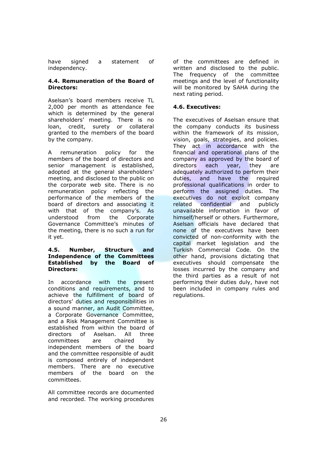have signed a statement of independency.

# **4.4. Remuneration of the Board of Directors:**

Aselsan's board members receive TL 2,000 per month as attendance fee which is determined by the general shareholders' meeting. There is no loan, credit, surety or collateral granted to the members of the board by the company.

A remuneration policy for the members of the board of directors and senior management is established, adopted at the general shareholders' meeting, and disclosed to the public on the corporate web site. There is no remuneration policy reflecting the performance of the members of the board of directors and associating it with that of the company's. As understood from the Corporate Governance Committee's minutes of the meeting, there is no such a run for it yet.

# **4.5. Number, Structure and Independence of the Committees Established by the Board of Directors:**

In accordance with the present conditions and requirements, and to achieve the fulfillment of board of directors' duties and responsibilities in a sound manner, an Audit Committee, a Corporate Governance Committee, and a Risk Management Committee is established from within the board of directors of Aselsan. All three committees are chaired by independent members of the board and the committee responsible of audit is composed entirely of independent members. There are no executive members of the board on the committees.

All committee records are documented and recorded. The working procedures

of the committees are defined in written and disclosed to the public. The frequency of the committee meetings and the level of functionality will be monitored by SAHA during the next rating period.

# **4.6. Executives:**

The executives of Aselsan ensure that the company conducts its business within the framework of its mission, vision, goals, strategies, and policies. They act in accordance with the financial and operational plans of the company as approved by the board of directors each year, they are adequately authorized to perform their duties, and have the required professional qualifications in order to perform the assigned duties. The executives do not exploit company related confidential and publicly unavailable information in favor of himself/herself or others. Furthermore, Aselsan officials have declared that none of the executives have been convicted of non-conformity with the capital market legislation and the Turkish Commercial Code. On the other hand, provisions dictating that executives should compensate the losses incurred by the company and the third parties as a result of not performing their duties duly, have not been included in company rules and regulations.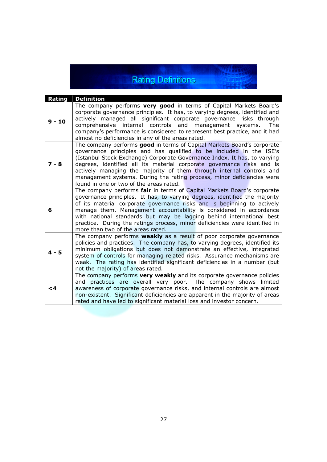# **Rating Definitions**

**Service** 

| Rating   | <b>Definition</b>                                                                                                                                                                                                                                                                                                                                                                                                                                                                                  |
|----------|----------------------------------------------------------------------------------------------------------------------------------------------------------------------------------------------------------------------------------------------------------------------------------------------------------------------------------------------------------------------------------------------------------------------------------------------------------------------------------------------------|
| $9 - 10$ | The company performs very good in terms of Capital Markets Board's<br>corporate governance principles. It has, to varying degrees, identified and<br>actively managed all significant corporate governance risks through<br>comprehensive internal controls and management systems.<br>The<br>company's performance is considered to represent best practice, and it had<br>almost no deficiencies in any of the areas rated.                                                                      |
| $7 - 8$  | The company performs good in terms of Capital Markets Board's corporate<br>governance principles and has qualified to be included in the ISE's<br>(Istanbul Stock Exchange) Corporate Governance Index. It has, to varying<br>degrees, identified all its material corporate governance risks and is<br>actively managing the majority of them through internal controls and<br>management systems. During the rating process, minor deficiencies were<br>found in one or two of the areas rated.  |
| 6        | The company performs fair in terms of Capital Markets Board's corporate<br>governance principles. It has, to varying degrees, identified the majority<br>of its material corporate governance risks and is beginning to actively<br>manage them. Management accountability is considered in accordance<br>with national standards but may be lagging behind international best<br>practice. During the ratings process, minor deficiencies were identified in<br>more than two of the areas rated. |
| $4 - 5$  | The company performs <b>weakly</b> as a result of poor corporate governance<br>policies and practices. The company has, to varying degrees, identified its<br>minimum obligations but does not demonstrate an effective, integrated<br>system of controls for managing related risks. Assurance mechanisms are<br>weak. The rating has identified significant deficiencies in a number (but<br>not the majority) of areas rated.                                                                   |
| $\leq 4$ | The company performs very weakly and its corporate governance policies<br>and practices are overall very poor. The company shows limited<br>awareness of corporate governance risks, and internal controls are almost<br>non-existent. Significant deficiencies are apparent in the majority of areas<br>rated and have led to significant material loss and investor concern.                                                                                                                     |